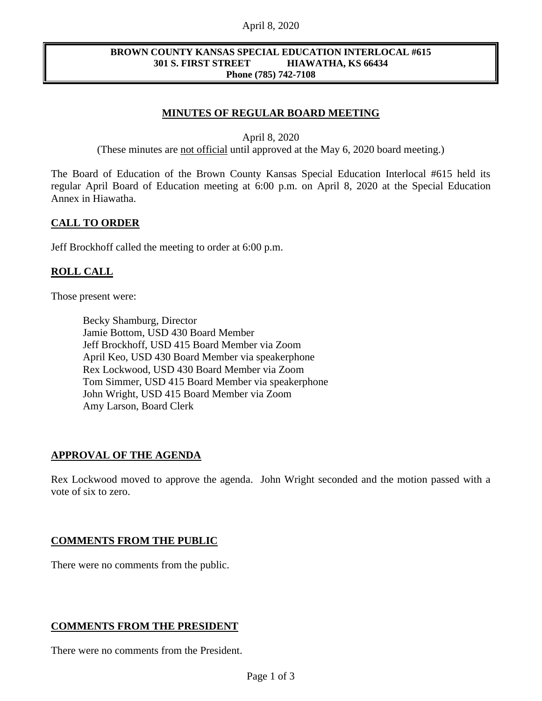#### April 8, 2020

#### **BROWN COUNTY KANSAS SPECIAL EDUCATION INTERLOCAL #615 301 S. FIRST STREET HIAWATHA, KS 66434 Phone (785) 742-7108**

## **MINUTES OF REGULAR BOARD MEETING**

April 8, 2020

(These minutes are not official until approved at the May 6, 2020 board meeting.)

The Board of Education of the Brown County Kansas Special Education Interlocal #615 held its regular April Board of Education meeting at 6:00 p.m. on April 8, 2020 at the Special Education Annex in Hiawatha.

#### **CALL TO ORDER**

Jeff Brockhoff called the meeting to order at 6:00 p.m.

#### **ROLL CALL**

Those present were:

Becky Shamburg, Director Jamie Bottom, USD 430 Board Member Jeff Brockhoff, USD 415 Board Member via Zoom April Keo, USD 430 Board Member via speakerphone Rex Lockwood, USD 430 Board Member via Zoom Tom Simmer, USD 415 Board Member via speakerphone John Wright, USD 415 Board Member via Zoom Amy Larson, Board Clerk

### **APPROVAL OF THE AGENDA**

Rex Lockwood moved to approve the agenda. John Wright seconded and the motion passed with a vote of six to zero.

#### **COMMENTS FROM THE PUBLIC**

There were no comments from the public.

### **COMMENTS FROM THE PRESIDENT**

There were no comments from the President.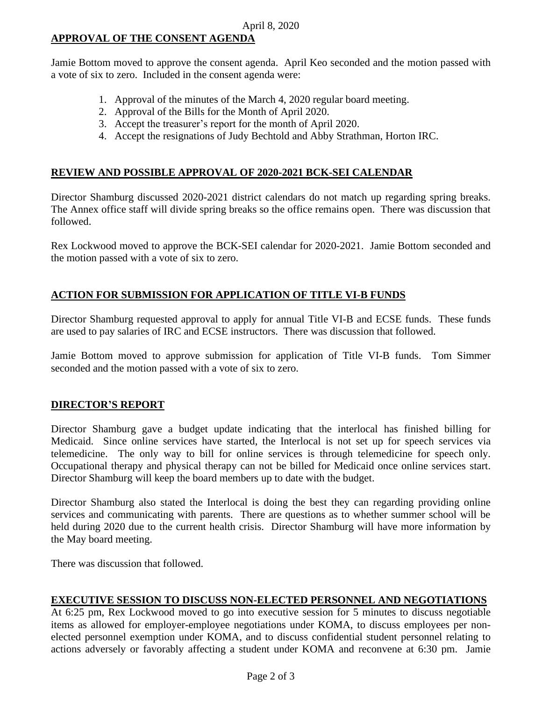# **APPROVAL OF THE CONSENT AGENDA**

Jamie Bottom moved to approve the consent agenda. April Keo seconded and the motion passed with a vote of six to zero. Included in the consent agenda were:

- 1. Approval of the minutes of the March 4, 2020 regular board meeting.
- 2. Approval of the Bills for the Month of April 2020.
- 3. Accept the treasurer's report for the month of April 2020.
- 4. Accept the resignations of Judy Bechtold and Abby Strathman, Horton IRC.

### **REVIEW AND POSSIBLE APPROVAL OF 2020-2021 BCK-SEI CALENDAR**

Director Shamburg discussed 2020-2021 district calendars do not match up regarding spring breaks. The Annex office staff will divide spring breaks so the office remains open. There was discussion that followed.

Rex Lockwood moved to approve the BCK-SEI calendar for 2020-2021. Jamie Bottom seconded and the motion passed with a vote of six to zero.

# **ACTION FOR SUBMISSION FOR APPLICATION OF TITLE VI-B FUNDS**

Director Shamburg requested approval to apply for annual Title VI-B and ECSE funds. These funds are used to pay salaries of IRC and ECSE instructors. There was discussion that followed.

Jamie Bottom moved to approve submission for application of Title VI-B funds. Tom Simmer seconded and the motion passed with a vote of six to zero.

# **DIRECTOR'S REPORT**

Director Shamburg gave a budget update indicating that the interlocal has finished billing for Medicaid. Since online services have started, the Interlocal is not set up for speech services via telemedicine. The only way to bill for online services is through telemedicine for speech only. Occupational therapy and physical therapy can not be billed for Medicaid once online services start. Director Shamburg will keep the board members up to date with the budget.

Director Shamburg also stated the Interlocal is doing the best they can regarding providing online services and communicating with parents. There are questions as to whether summer school will be held during 2020 due to the current health crisis. Director Shamburg will have more information by the May board meeting.

There was discussion that followed.

### **EXECUTIVE SESSION TO DISCUSS NON-ELECTED PERSONNEL AND NEGOTIATIONS**

At 6:25 pm, Rex Lockwood moved to go into executive session for 5 minutes to discuss negotiable items as allowed for employer-employee negotiations under KOMA, to discuss employees per nonelected personnel exemption under KOMA, and to discuss confidential student personnel relating to actions adversely or favorably affecting a student under KOMA and reconvene at 6:30 pm. Jamie